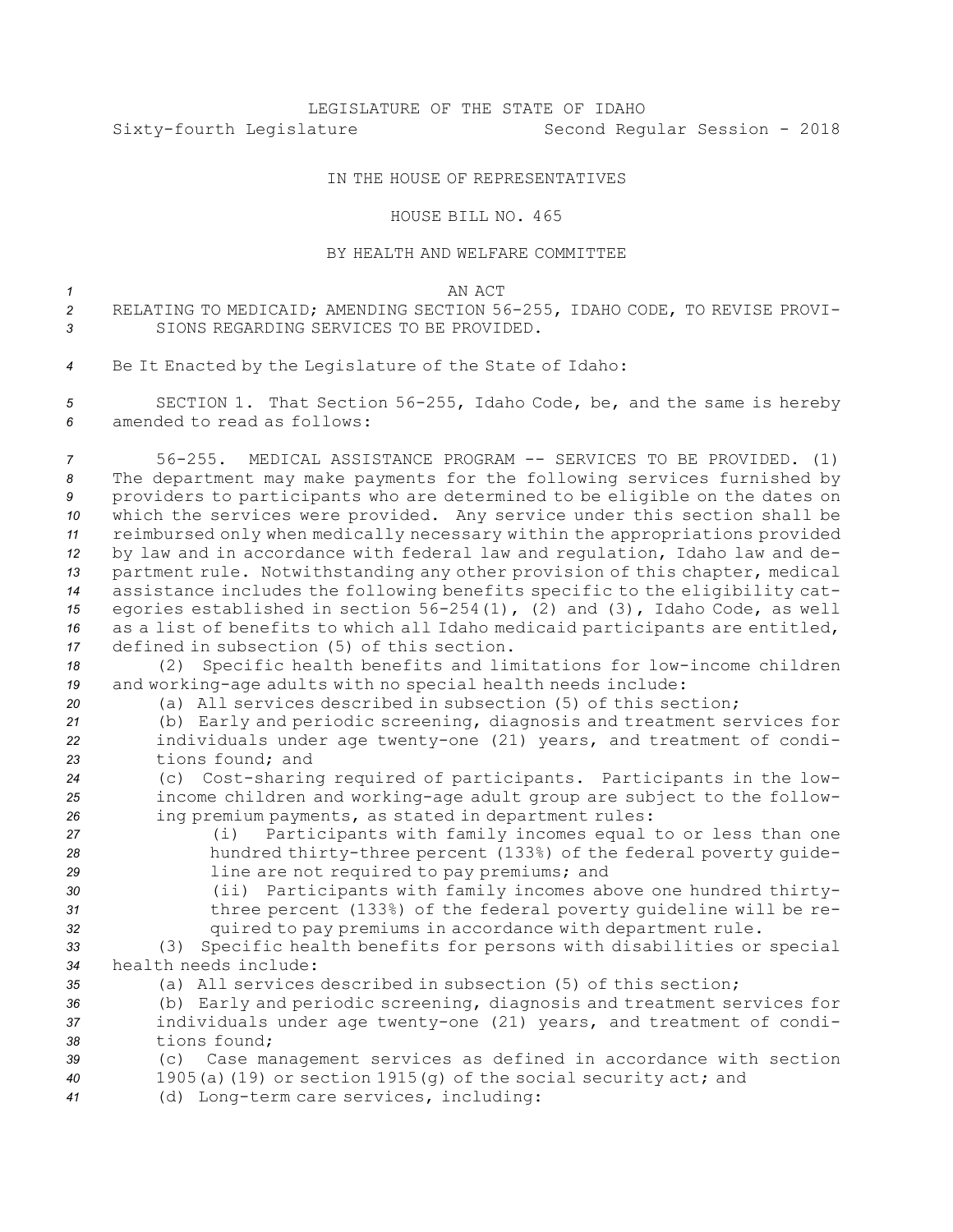## LEGISLATURE OF THE STATE OF IDAHO Sixty-fourth Legislature Second Regular Session - 2018

## IN THE HOUSE OF REPRESENTATIVES

## HOUSE BILL NO. 465

## BY HEALTH AND WELFARE COMMITTEE

| AN ACT<br>______ |
|------------------|
|                  |

- *<sup>2</sup>* RELATING TO MEDICAID; AMENDING SECTION 56-255, IDAHO CODE, TO REVISE PROVI-*3* SIONS REGARDING SERVICES TO BE PROVIDED.
- *<sup>4</sup>* Be It Enacted by the Legislature of the State of Idaho:

*<sup>5</sup>* SECTION 1. That Section 56-255, Idaho Code, be, and the same is hereby *6* amended to read as follows:

 56-255. MEDICAL ASSISTANCE PROGRAM -- SERVICES TO BE PROVIDED. (1) The department may make payments for the following services furnished by providers to participants who are determined to be eligible on the dates on which the services were provided. Any service under this section shall be reimbursed only when medically necessary within the appropriations provided by law and in accordance with federal law and regulation, Idaho law and de- partment rule. Notwithstanding any other provision of this chapter, medical assistance includes the following benefits specific to the eligibility cat- egories established in section 56-254(1), (2) and (3), Idaho Code, as well as <sup>a</sup> list of benefits to which all Idaho medicaid participants are entitled, defined in subsection (5) of this section.

*<sup>18</sup>* (2) Specific health benefits and limitations for low-income children *<sup>19</sup>* and working-age adults with no special health needs include:

- *20* (a) All services described in subsection (5) of this section;
- *<sup>21</sup>* (b) Early and periodic screening, diagnosis and treatment services for *<sup>22</sup>* individuals under age twenty-one (21) years, and treatment of condi-*23* tions found; and
- *<sup>24</sup>* (c) Cost-sharing required of participants. Participants in the low-*<sup>25</sup>* income children and working-age adult group are subject to the follow-*<sup>26</sup>* ing premium payments, as stated in department rules:
- 
- 

*<sup>27</sup>* (i) Participants with family incomes equal to or less than one *<sup>28</sup>* hundred thirty-three percent (133%) of the federal poverty guide-*<sup>29</sup>* line are not required to pay premiums; and

- *<sup>30</sup>* (ii) Participants with family incomes above one hundred thirty-
- 

*<sup>31</sup>* three percent (133%) of the federal poverty guideline will be re-*<sup>32</sup>* quired to pay premiums in accordance with department rule.

*<sup>33</sup>* (3) Specific health benefits for persons with disabilities or special *34* health needs include:

- *35* (a) All services described in subsection (5) of this section;
- *<sup>36</sup>* (b) Early and periodic screening, diagnosis and treatment services for *<sup>37</sup>* individuals under age twenty-one (21) years, and treatment of condi-*38* tions found;
- *<sup>39</sup>* (c) Case management services as defined in accordance with section
- *<sup>40</sup>* 1905(a)(19) or section 1915(g) of the social security act; and
- *<sup>41</sup>* (d) Long-term care services, including: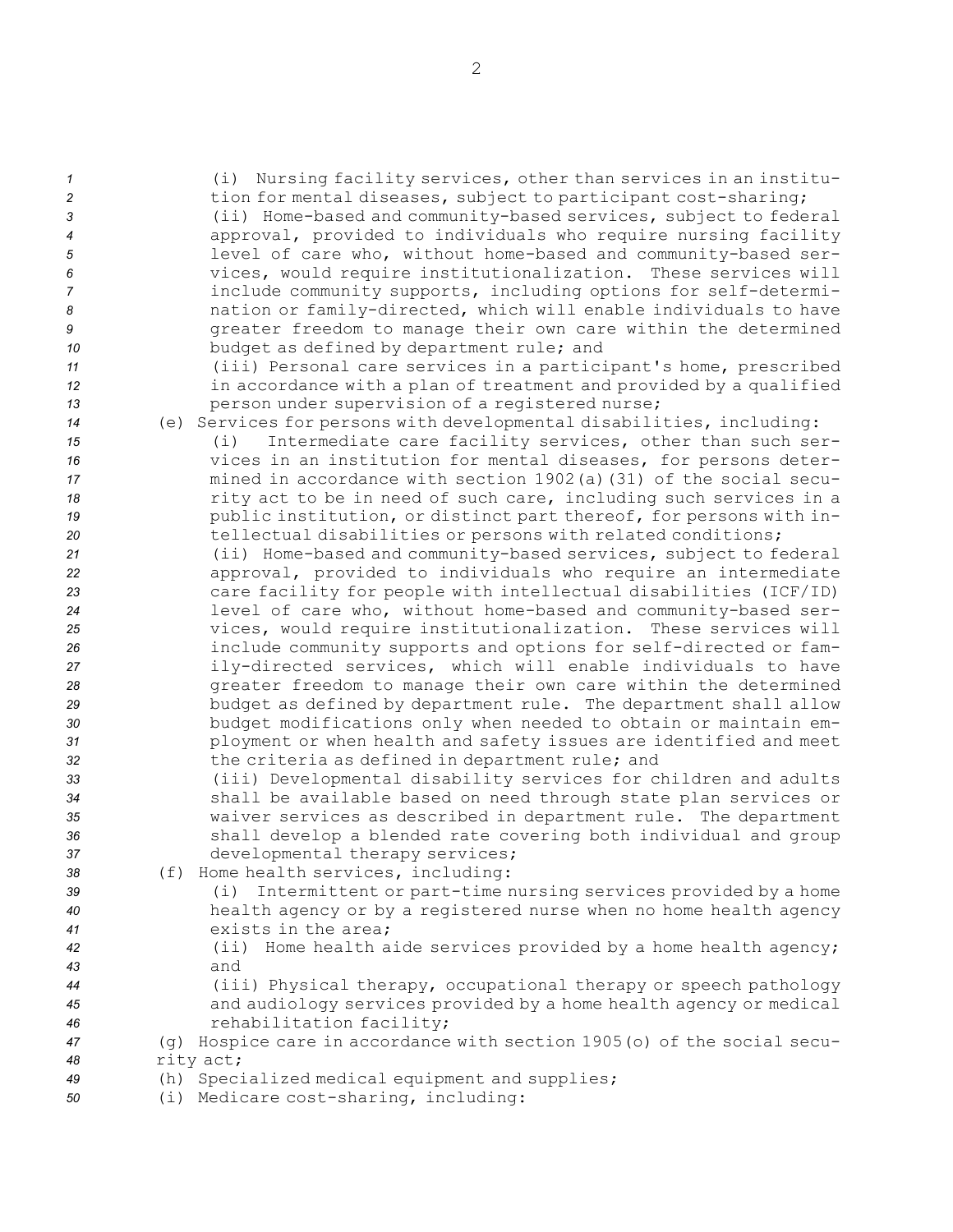| $\mathbf{1}$<br>$\overline{c}$<br>3<br>4<br>5<br>6<br>$\overline{7}$<br>8<br>9<br>10<br>11<br>12<br>13<br>14<br>15<br>16<br>17<br>18<br>19<br>20<br>21<br>22<br>23<br>24<br>25<br>26<br>27<br>28<br>29<br>30<br>31 | (i) Nursing facility services, other than services in an institu-<br>tion for mental diseases, subject to participant cost-sharing;<br>(ii) Home-based and community-based services, subject to federal<br>approval, provided to individuals who require nursing facility<br>level of care who, without home-based and community-based ser-<br>vices, would require institutionalization. These services will<br>include community supports, including options for self-determi-<br>nation or family-directed, which will enable individuals to have<br>greater freedom to manage their own care within the determined<br>budget as defined by department rule; and<br>(iii) Personal care services in a participant's home, prescribed<br>in accordance with a plan of treatment and provided by a qualified<br>person under supervision of a registered nurse;<br>(e) Services for persons with developmental disabilities, including:<br>Intermediate care facility services, other than such ser-<br>(i)<br>vices in an institution for mental diseases, for persons deter-<br>mined in accordance with section 1902(a) (31) of the social secu-<br>rity act to be in need of such care, including such services in a<br>public institution, or distinct part thereof, for persons with in-<br>tellectual disabilities or persons with related conditions;<br>(ii) Home-based and community-based services, subject to federal<br>approval, provided to individuals who require an intermediate<br>care facility for people with intellectual disabilities (ICF/ID)<br>level of care who, without home-based and community-based ser-<br>vices, would require institutionalization. These services will<br>include community supports and options for self-directed or fam-<br>ily-directed services, which will enable individuals to have<br>greater freedom to manage their own care within the determined<br>budget as defined by department rule. The department shall allow<br>budget modifications only when needed to obtain or maintain em-<br>ployment or when health and safety issues are identified and meet |
|--------------------------------------------------------------------------------------------------------------------------------------------------------------------------------------------------------------------|-------------------------------------------------------------------------------------------------------------------------------------------------------------------------------------------------------------------------------------------------------------------------------------------------------------------------------------------------------------------------------------------------------------------------------------------------------------------------------------------------------------------------------------------------------------------------------------------------------------------------------------------------------------------------------------------------------------------------------------------------------------------------------------------------------------------------------------------------------------------------------------------------------------------------------------------------------------------------------------------------------------------------------------------------------------------------------------------------------------------------------------------------------------------------------------------------------------------------------------------------------------------------------------------------------------------------------------------------------------------------------------------------------------------------------------------------------------------------------------------------------------------------------------------------------------------------------------------------------------------------------------------------------------------------------------------------------------------------------------------------------------------------------------------------------------------------------------------------------------------------------------------------------------------------------------------------------------------------------------------------------------------------------------------------------------------------------------------------------------------------------|
| 32<br>33<br>34<br>35<br>36<br>37<br>38<br>39<br>40<br>41<br>42<br>43<br>44<br>45<br>46<br>47                                                                                                                       | the criteria as defined in department rule; and<br>(iii) Developmental disability services for children and adults<br>shall be available based on need through state plan services or<br>waiver services as described in department rule. The department<br>shall develop a blended rate covering both individual and group<br>developmental therapy services;<br>(f) Home health services, including:<br>Intermittent or part-time nursing services provided by a home<br>(i)<br>health agency or by a registered nurse when no home health agency<br>exists in the area;<br>(ii) Home health aide services provided by a home health agency;<br>and<br>(iii) Physical therapy, occupational therapy or speech pathology<br>and audiology services provided by a home health agency or medical<br>rehabilitation facility;<br>(g) Hospice care in accordance with section 1905 (o) of the social secu-                                                                                                                                                                                                                                                                                                                                                                                                                                                                                                                                                                                                                                                                                                                                                                                                                                                                                                                                                                                                                                                                                                                                                                                                                       |
| 48<br>49<br>50                                                                                                                                                                                                     | rity act;<br>(h) Specialized medical equipment and supplies;<br>(i) Medicare cost-sharing, including:                                                                                                                                                                                                                                                                                                                                                                                                                                                                                                                                                                                                                                                                                                                                                                                                                                                                                                                                                                                                                                                                                                                                                                                                                                                                                                                                                                                                                                                                                                                                                                                                                                                                                                                                                                                                                                                                                                                                                                                                                         |

2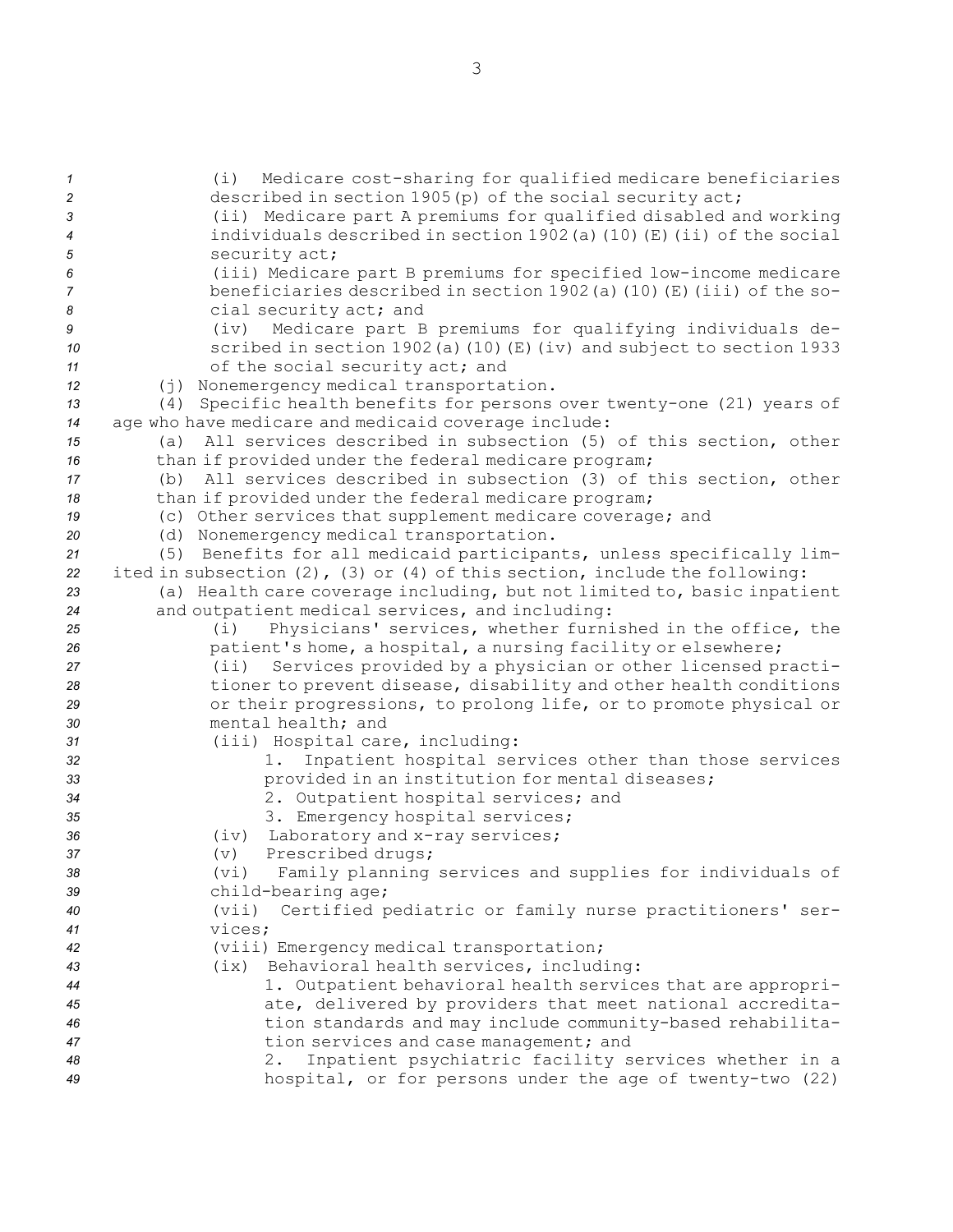(i) Medicare cost-sharing for qualified medicare beneficiaries described in section 1905(p) of the social security act; (ii) Medicare part <sup>A</sup> premiums for qualified disabled and working individuals described in section 1902(a)(10)(E)(ii) of the social security act; (iii) Medicare part <sup>B</sup> premiums for specified low-income medicare beneficiaries described in section 1902(a)(10)(E)(iii) of the so- cial security act; and (iv) Medicare part <sup>B</sup> premiums for qualifying individuals de- scribed in section 1902(a)(10)(E)(iv) and subject to section 1933 of the social security act; and (j) Nonemergency medical transportation. (4) Specific health benefits for persons over twenty-one (21) years of age who have medicare and medicaid coverage include: (a) All services described in subsection (5) of this section, other 16 than if provided under the federal medicare program; (b) All services described in subsection (3) of this section, other 18 than if provided under the federal medicare program; (c) Other services that supplement medicare coverage; and (d) Nonemergency medical transportation. (5) Benefits for all medicaid participants, unless specifically lim- ited in subsection (2), (3) or (4) of this section, include the following: (a) Health care coverage including, but not limited to, basic inpatient and outpatient medical services, and including: (i) Physicians' services, whether furnished in the office, the patient's home, <sup>a</sup> hospital, <sup>a</sup> nursing facility or elsewhere; (ii) Services provided by <sup>a</sup> physician or other licensed practi- tioner to prevent disease, disability and other health conditions or their progressions, to prolong life, or to promote physical or mental health; and (iii) Hospital care, including: 1. Inpatient hospital services other than those services provided in an institution for mental diseases; 2. Outpatient hospital services; and 3. Emergency hospital services; (iv) Laboratory and x-ray services; (v) Prescribed drugs; (vi) Family planning services and supplies for individuals of child-bearing age; (vii) Certified pediatric or family nurse practitioners' ser-*41* vices; (viii) Emergency medical transportation; (ix) Behavioral health services, including: 1. Outpatient behavioral health services that are appropri- ate, delivered by providers that meet national accredita- tion standards and may include community-based rehabilita- tion services and case management; and 2. Inpatient psychiatric facility services whether in <sup>a</sup> hospital, or for persons under the age of twenty-two (22)